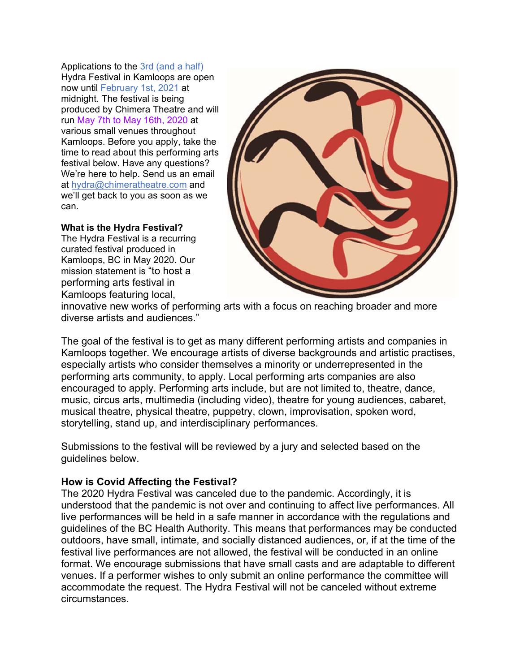Applications to the 3rd (and a half) Hydra Festival in Kamloops are open now until February 1st, 2021 at midnight. The festival is being produced by Chimera Theatre and will run May 7th to May 16th, 2020 at various small venues throughout Kamloops. Before you apply, take the time to read about this performing arts festival below. Have any questions? We're here to help. Send us an email at hydra@chimeratheatre.com and we'll get back to you as soon as we can.

#### **What is the Hydra Festival?**

The Hydra Festival is a recurring curated festival produced in Kamloops, BC in May 2020. Our mission statement is "to host a performing arts festival in Kamloops featuring local,



innovative new works of performing arts with a focus on reaching broader and more diverse artists and audiences."

The goal of the festival is to get as many different performing artists and companies in Kamloops together. We encourage artists of diverse backgrounds and artistic practises, especially artists who consider themselves a minority or underrepresented in the performing arts community, to apply. Local performing arts companies are also encouraged to apply. Performing arts include, but are not limited to, theatre, dance, music, circus arts, multimedia (including video), theatre for young audiences, cabaret, musical theatre, physical theatre, puppetry, clown, improvisation, spoken word, storytelling, stand up, and interdisciplinary performances.

Submissions to the festival will be reviewed by a jury and selected based on the guidelines below.

### **How is Covid Affecting the Festival?**

The 2020 Hydra Festival was canceled due to the pandemic. Accordingly, it is understood that the pandemic is not over and continuing to affect live performances. All live performances will be held in a safe manner in accordance with the regulations and guidelines of the BC Health Authority. This means that performances may be conducted outdoors, have small, intimate, and socially distanced audiences, or, if at the time of the festival live performances are not allowed, the festival will be conducted in an online format. We encourage submissions that have small casts and are adaptable to different venues. If a performer wishes to only submit an online performance the committee will accommodate the request. The Hydra Festival will not be canceled without extreme circumstances.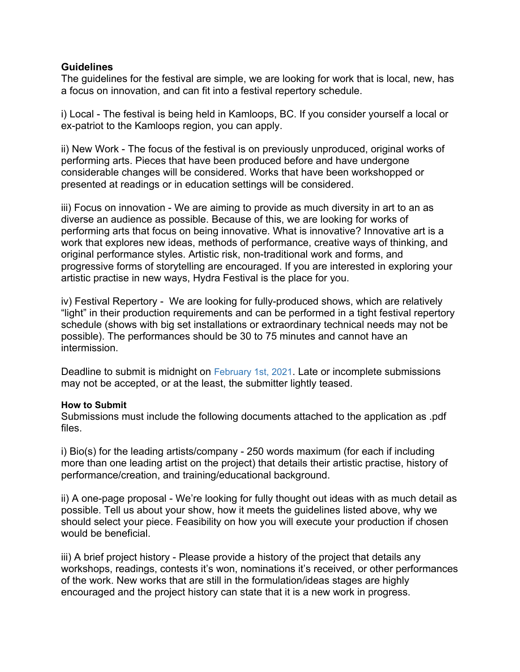#### **Guidelines**

The guidelines for the festival are simple, we are looking for work that is local, new, has a focus on innovation, and can fit into a festival repertory schedule.

i) Local - The festival is being held in Kamloops, BC. If you consider yourself a local or ex-patriot to the Kamloops region, you can apply.

ii) New Work - The focus of the festival is on previously unproduced, original works of performing arts. Pieces that have been produced before and have undergone considerable changes will be considered. Works that have been workshopped or presented at readings or in education settings will be considered.

iii) Focus on innovation - We are aiming to provide as much diversity in art to an as diverse an audience as possible. Because of this, we are looking for works of performing arts that focus on being innovative. What is innovative? Innovative art is a work that explores new ideas, methods of performance, creative ways of thinking, and original performance styles. Artistic risk, non-traditional work and forms, and progressive forms of storytelling are encouraged. If you are interested in exploring your artistic practise in new ways, Hydra Festival is the place for you.

iv) Festival Repertory - We are looking for fully-produced shows, which are relatively "light" in their production requirements and can be performed in a tight festival repertory schedule (shows with big set installations or extraordinary technical needs may not be possible). The performances should be 30 to 75 minutes and cannot have an intermission.

Deadline to submit is midnight on February 1st, 2021. Late or incomplete submissions may not be accepted, or at the least, the submitter lightly teased.

#### **How to Submit**

Submissions must include the following documents attached to the application as .pdf files.

i) Bio(s) for the leading artists/company - 250 words maximum (for each if including more than one leading artist on the project) that details their artistic practise, history of performance/creation, and training/educational background.

ii) A one-page proposal - We're looking for fully thought out ideas with as much detail as possible. Tell us about your show, how it meets the guidelines listed above, why we should select your piece. Feasibility on how you will execute your production if chosen would be beneficial.

iii) A brief project history - Please provide a history of the project that details any workshops, readings, contests it's won, nominations it's received, or other performances of the work. New works that are still in the formulation/ideas stages are highly encouraged and the project history can state that it is a new work in progress.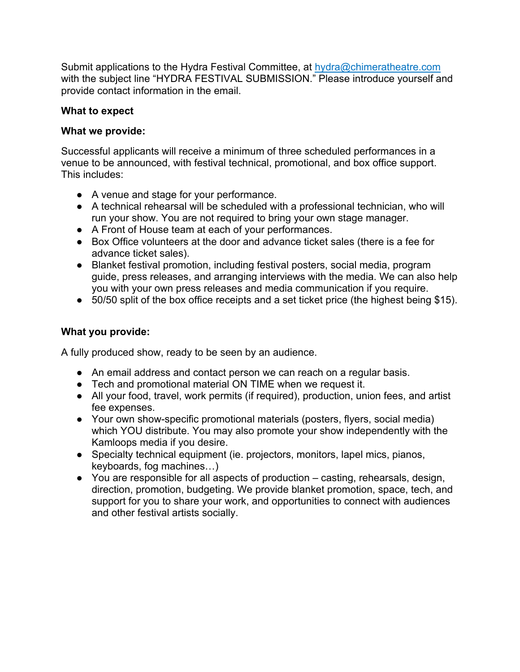Submit applications to the Hydra Festival Committee, at hydra@chimeratheatre.com with the subject line "HYDRA FESTIVAL SUBMISSION." Please introduce yourself and provide contact information in the email.

## **What to expect**

## **What we provide:**

Successful applicants will receive a minimum of three scheduled performances in a venue to be announced, with festival technical, promotional, and box office support. This includes:

- A venue and stage for your performance.
- A technical rehearsal will be scheduled with a professional technician, who will run your show. You are not required to bring your own stage manager.
- A Front of House team at each of your performances.
- Box Office volunteers at the door and advance ticket sales (there is a fee for advance ticket sales).
- Blanket festival promotion, including festival posters, social media, program guide, press releases, and arranging interviews with the media. We can also help you with your own press releases and media communication if you require.
- 50/50 split of the box office receipts and a set ticket price (the highest being \$15).

## **What you provide:**

A fully produced show, ready to be seen by an audience.

- An email address and contact person we can reach on a regular basis.
- Tech and promotional material ON TIME when we request it.
- All your food, travel, work permits (if required), production, union fees, and artist fee expenses.
- Your own show-specific promotional materials (posters, flyers, social media) which YOU distribute. You may also promote your show independently with the Kamloops media if you desire.
- Specialty technical equipment (ie. projectors, monitors, lapel mics, pianos, keyboards, fog machines…)
- You are responsible for all aspects of production casting, rehearsals, design, direction, promotion, budgeting. We provide blanket promotion, space, tech, and support for you to share your work, and opportunities to connect with audiences and other festival artists socially.